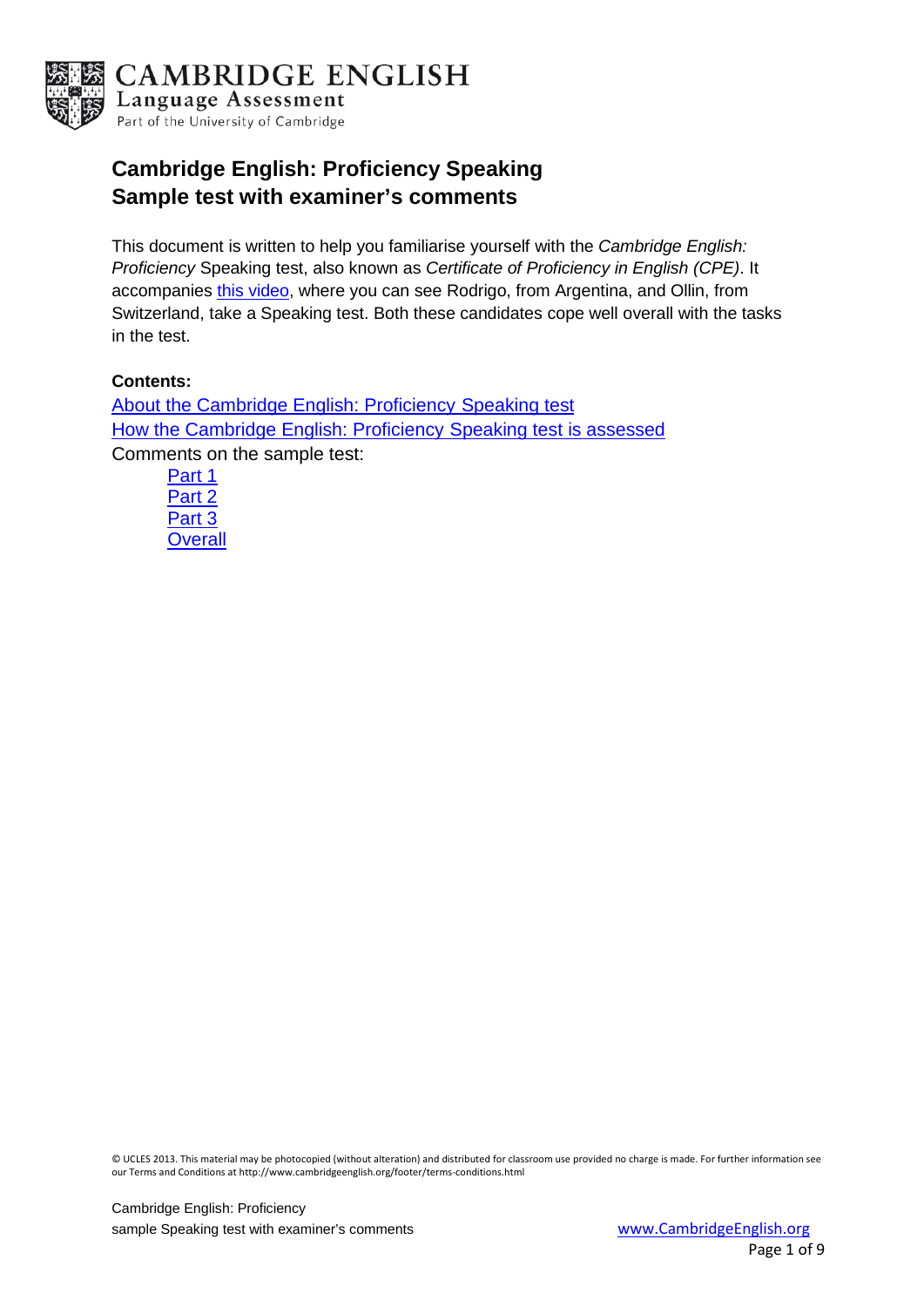

# **Cambridge English: Proficiency Speaking Sample test with examiner's comments**

This document is written to help you familiarise yourself with the *Cambridge English: Proficiency* Speaking test, also known as *Certificate of Proficiency in English (CPE)*. It accompanies [this video,](http://www.youtube.com/watch?v=Z-zh_rPNaqU) where you can see Rodrigo, from Argentina, and Ollin, from Switzerland, take a Speaking test. Both these candidates cope well overall with the tasks in the test.

### **Contents:**

[About the Cambridge English: Proficiency](#page-1-0) Speaking test [How the Cambridge English: Proficiency](#page-2-0) Speaking test is assessed Comments on the sample test:

[Part 1](#page-3-0) [Part 2](#page-3-1) [Part 3](#page-5-0) **[Overall](#page-7-0)**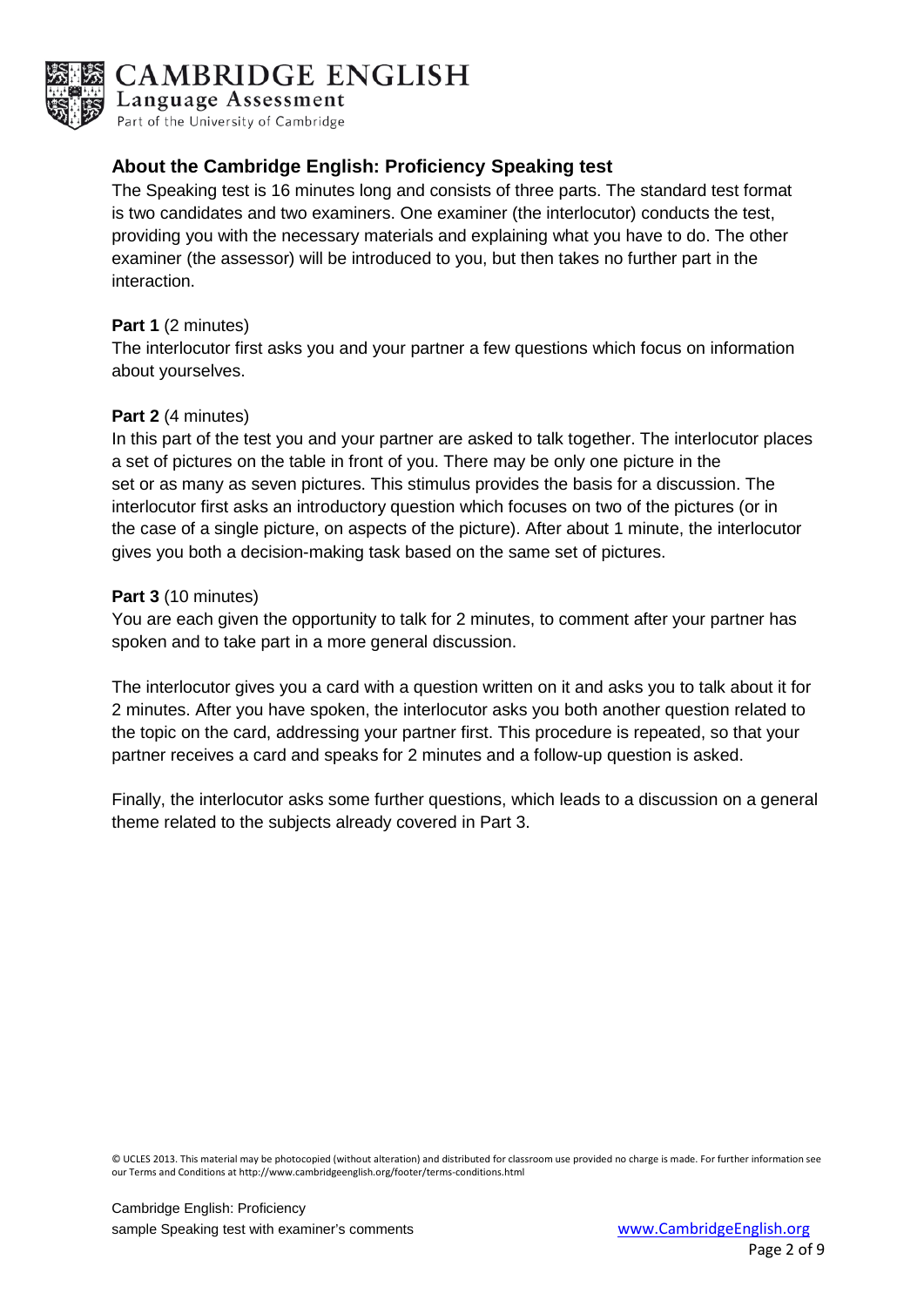

CAMBRIDGE ENGLISH

Language Assessment Part of the University of Cambridge

# <span id="page-1-0"></span>**About the Cambridge English: Proficiency Speaking test**

The Speaking test is 16 minutes long and consists of three parts. The standard test format is two candidates and two examiners. One examiner (the interlocutor) conducts the test, providing you with the necessary materials and explaining what you have to do. The other examiner (the assessor) will be introduced to you, but then takes no further part in the interaction.

### **Part 1** (2 minutes)

The interlocutor first asks you and your partner a few questions which focus on information about yourselves.

### **Part 2** (4 minutes)

In this part of the test you and your partner are asked to talk together. The interlocutor places a set of pictures on the table in front of you. There may be only one picture in the set or as many as seven pictures. This stimulus provides the basis for a discussion. The interlocutor first asks an introductory question which focuses on two of the pictures (or in the case of a single picture, on aspects of the picture). After about 1 minute, the interlocutor gives you both a decision-making task based on the same set of pictures.

#### **Part 3** (10 minutes)

You are each given the opportunity to talk for 2 minutes, to comment after your partner has spoken and to take part in a more general discussion.

The interlocutor gives you a card with a question written on it and asks you to talk about it for 2 minutes. After you have spoken, the interlocutor asks you both another question related to the topic on the card, addressing your partner first. This procedure is repeated, so that your partner receives a card and speaks for 2 minutes and a follow-up question is asked.

Finally, the interlocutor asks some further questions, which leads to a discussion on a general theme related to the subjects already covered in Part 3.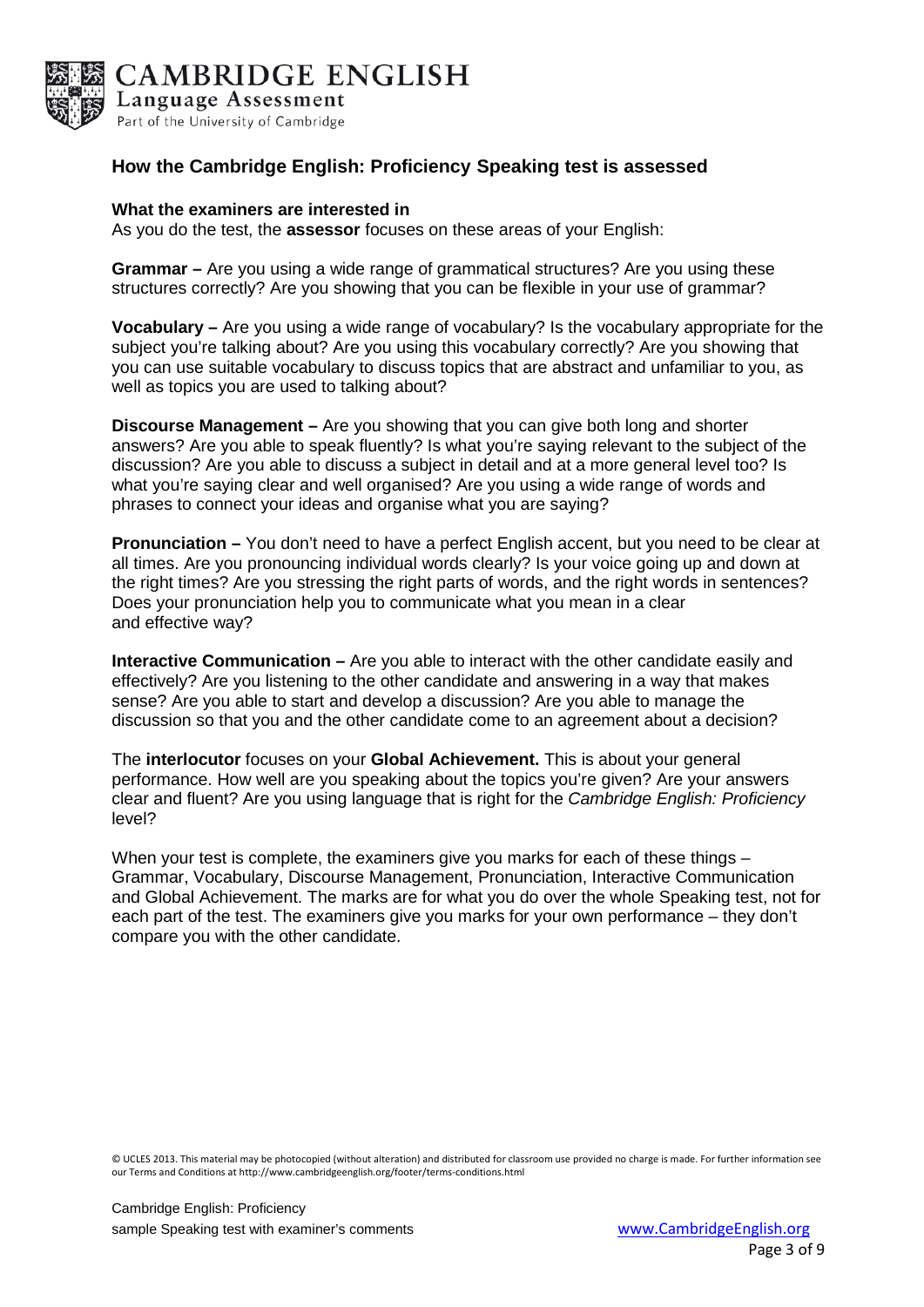

## <span id="page-2-0"></span>**How the Cambridge English: Proficiency Speaking test is assessed**

#### **What the examiners are interested in**

As you do the test, the **assessor** focuses on these areas of your English:

**Grammar –** Are you using a wide range of grammatical structures? Are you using these structures correctly? Are you showing that you can be flexible in your use of grammar?

**Vocabulary –** Are you using a wide range of vocabulary? Is the vocabulary appropriate for the subject you're talking about? Are you using this vocabulary correctly? Are you showing that you can use suitable vocabulary to discuss topics that are abstract and unfamiliar to you, as well as topics you are used to talking about?

**Discourse Management –** Are you showing that you can give both long and shorter answers? Are you able to speak fluently? Is what you're saying relevant to the subject of the discussion? Are you able to discuss a subject in detail and at a more general level too? Is what you're saying clear and well organised? Are you using a wide range of words and phrases to connect your ideas and organise what you are saying?

**Pronunciation –** You don't need to have a perfect English accent, but you need to be clear at all times. Are you pronouncing individual words clearly? Is your voice going up and down at the right times? Are you stressing the right parts of words, and the right words in sentences? Does your pronunciation help you to communicate what you mean in a clear and effective way?

**Interactive Communication –** Are you able to interact with the other candidate easily and effectively? Are you listening to the other candidate and answering in a way that makes sense? Are you able to start and develop a discussion? Are you able to manage the discussion so that you and the other candidate come to an agreement about a decision?

The **interlocutor** focuses on your **Global Achievement.** This is about your general performance. How well are you speaking about the topics you're given? Are your answers clear and fluent? Are you using language that is right for the *Cambridge English: Proficiency* level?

When your test is complete, the examiners give you marks for each of these things – Grammar, Vocabulary, Discourse Management, Pronunciation, Interactive Communication and Global Achievement. The marks are for what you do over the whole Speaking test, not for each part of the test. The examiners give you marks for your own performance – they don't compare you with the other candidate.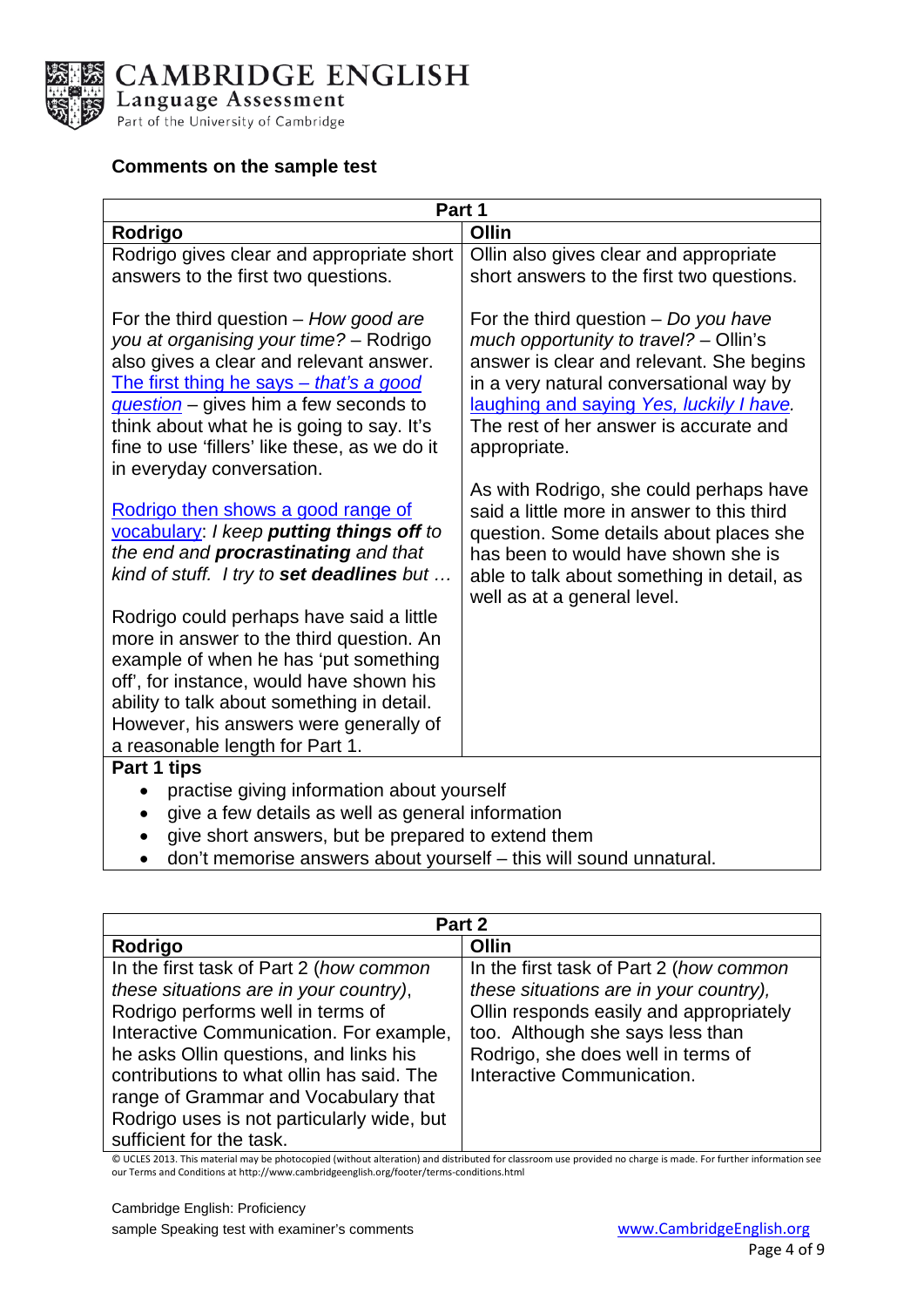

### **Comments on the sample test**

<span id="page-3-0"></span>

| Part 1                                                                                                                                                                                                                                                                                                                                                                                                                                                                                                                                                                                                                                                                                                                                                                                                                            |                                                                                                                                                                                                                                                                                                                                                                                                                                                                                                                                      |  |
|-----------------------------------------------------------------------------------------------------------------------------------------------------------------------------------------------------------------------------------------------------------------------------------------------------------------------------------------------------------------------------------------------------------------------------------------------------------------------------------------------------------------------------------------------------------------------------------------------------------------------------------------------------------------------------------------------------------------------------------------------------------------------------------------------------------------------------------|--------------------------------------------------------------------------------------------------------------------------------------------------------------------------------------------------------------------------------------------------------------------------------------------------------------------------------------------------------------------------------------------------------------------------------------------------------------------------------------------------------------------------------------|--|
| Rodrigo                                                                                                                                                                                                                                                                                                                                                                                                                                                                                                                                                                                                                                                                                                                                                                                                                           | Ollin                                                                                                                                                                                                                                                                                                                                                                                                                                                                                                                                |  |
| Rodrigo gives clear and appropriate short                                                                                                                                                                                                                                                                                                                                                                                                                                                                                                                                                                                                                                                                                                                                                                                         | Ollin also gives clear and appropriate                                                                                                                                                                                                                                                                                                                                                                                                                                                                                               |  |
| answers to the first two questions.                                                                                                                                                                                                                                                                                                                                                                                                                                                                                                                                                                                                                                                                                                                                                                                               | short answers to the first two questions.                                                                                                                                                                                                                                                                                                                                                                                                                                                                                            |  |
| For the third question $-$ How good are<br>you at organising your time? - Rodrigo<br>also gives a clear and relevant answer.<br>The first thing he says - that's a good<br><i>question</i> – gives him a few seconds to<br>think about what he is going to say. It's<br>fine to use 'fillers' like these, as we do it<br>in everyday conversation.<br>Rodrigo then shows a good range of<br>vocabulary: I keep putting things off to<br>the end and procrastinating and that<br>kind of stuff. I try to set deadlines but<br>Rodrigo could perhaps have said a little<br>more in answer to the third question. An<br>example of when he has 'put something<br>off', for instance, would have shown his<br>ability to talk about something in detail.<br>However, his answers were generally of<br>a reasonable length for Part 1. | For the third question $-$ Do you have<br>much opportunity to travel? - Ollin's<br>answer is clear and relevant. She begins<br>in a very natural conversational way by<br>laughing and saying Yes, luckily I have.<br>The rest of her answer is accurate and<br>appropriate.<br>As with Rodrigo, she could perhaps have<br>said a little more in answer to this third<br>question. Some details about places she<br>has been to would have shown she is<br>able to talk about something in detail, as<br>well as at a general level. |  |
| Part 1 tips                                                                                                                                                                                                                                                                                                                                                                                                                                                                                                                                                                                                                                                                                                                                                                                                                       |                                                                                                                                                                                                                                                                                                                                                                                                                                                                                                                                      |  |
| practise giving information about yourself                                                                                                                                                                                                                                                                                                                                                                                                                                                                                                                                                                                                                                                                                                                                                                                        |                                                                                                                                                                                                                                                                                                                                                                                                                                                                                                                                      |  |
| give a few details as well as general information                                                                                                                                                                                                                                                                                                                                                                                                                                                                                                                                                                                                                                                                                                                                                                                 |                                                                                                                                                                                                                                                                                                                                                                                                                                                                                                                                      |  |
| give short answers, but be prepared to extend them                                                                                                                                                                                                                                                                                                                                                                                                                                                                                                                                                                                                                                                                                                                                                                                |                                                                                                                                                                                                                                                                                                                                                                                                                                                                                                                                      |  |

• don't memorise answers about yourself – this will sound unnatural.

<span id="page-3-1"></span>

| Part 2                                     |                                         |  |
|--------------------------------------------|-----------------------------------------|--|
| Rodrigo                                    | Ollin                                   |  |
| In the first task of Part 2 (how common    | In the first task of Part 2 (how common |  |
| these situations are in your country),     | these situations are in your country),  |  |
| Rodrigo performs well in terms of          | Ollin responds easily and appropriately |  |
| Interactive Communication. For example,    | too. Although she says less than        |  |
| he asks Ollin questions, and links his     | Rodrigo, she does well in terms of      |  |
| contributions to what ollin has said. The  | Interactive Communication.              |  |
| range of Grammar and Vocabulary that       |                                         |  |
| Rodrigo uses is not particularly wide, but |                                         |  |
| sufficient for the task.                   |                                         |  |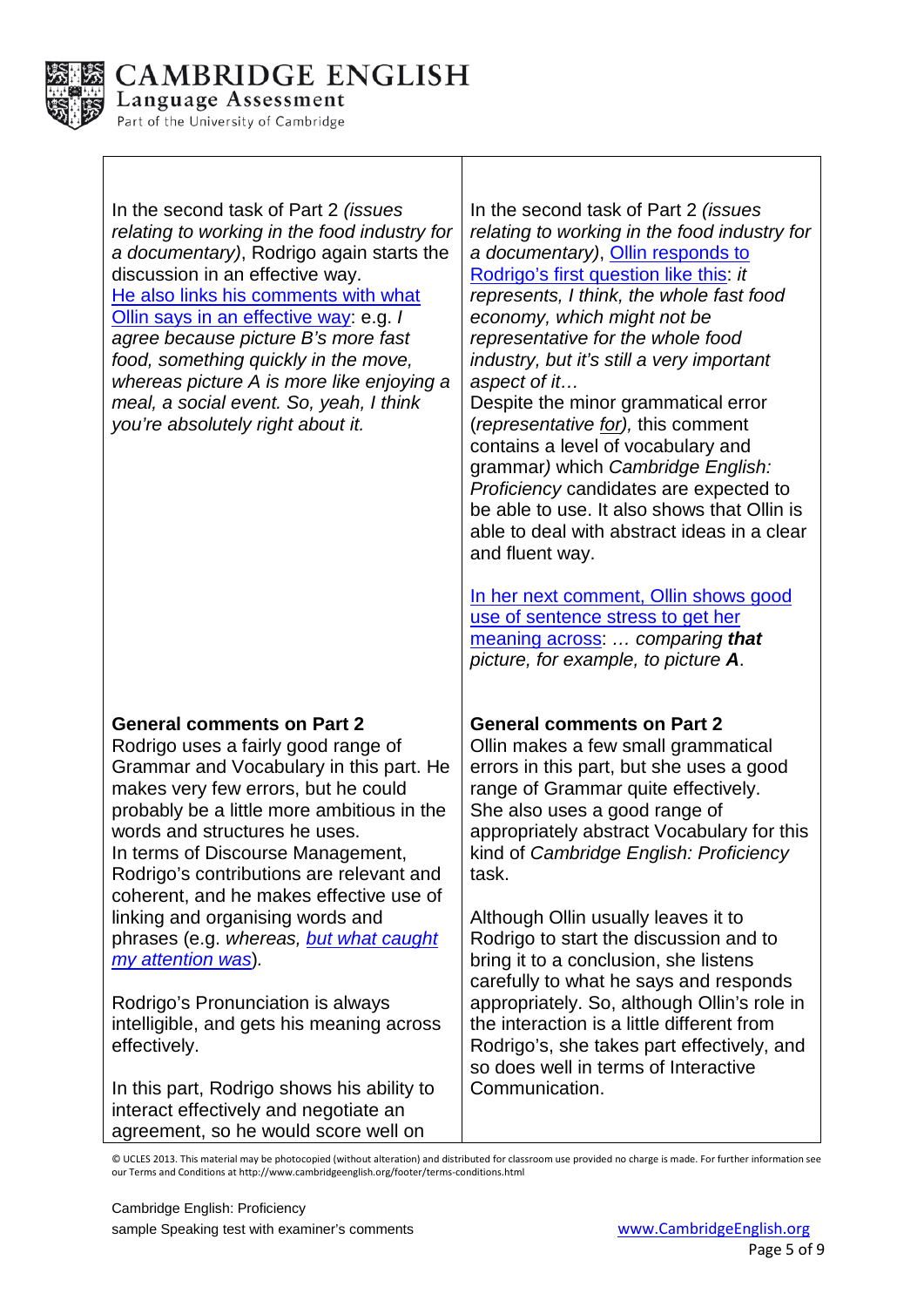

**CAMBRIDGE ENGLISH** Language Assessment Part of the University of Cambridge

In the second task of Part 2 *(issues relating to working in the food industry for a documentary)*, Rodrigo again starts the discussion in an effective way. [He also links his comments](http://youtu.be/Z-zh_rPNaqU?t=4m50s) with what [Ollin says in an effective way:](http://youtu.be/Z-zh_rPNaqU?t=4m50s) e.g. *I agree because picture B's more fast food, something quickly in the move, whereas picture A is more like enjoying a meal, a social event. So, yeah, I think you're absolutely right about it.*

### **General comments on Part 2**

Rodrigo uses a fairly good range of Grammar and Vocabulary in this part. He makes very few errors, but he could probably be a little more ambitious in the words and structures he uses. In terms of Discourse Management, Rodrigo's contributions are relevant and coherent, and he makes effective use of linking and organising words and phrases (e.g. *whereas, [but what caught](http://youtu.be/Z-zh_rPNaqU?t=5m31s)  [my attention was](http://youtu.be/Z-zh_rPNaqU?t=5m31s)*)*.* 

Rodrigo's Pronunciation is always intelligible, and gets his meaning across effectively.

In this part, Rodrigo shows his ability to interact effectively and negotiate an agreement, so he would score well on

In the second task of Part 2 *(issues relating to working in the food industry for a documentary)*, [Ollin responds to](http://youtu.be/Z-zh_rPNaqU?t=4m25s)  [Rodrigo's first question like this:](http://youtu.be/Z-zh_rPNaqU?t=4m25s) *it* 

*represents, I think, the whole fast food economy, which might not be representative for the whole food industry, but it's still a very important aspect of it…*

Despite the minor grammatical error (*representative for),* this comment contains a level of vocabulary and grammar*)* which *Cambridge English: Proficiency* candidates are expected to be able to use. It also shows that Ollin is able to deal with abstract ideas in a clear and fluent way.

[In her next comment, Ollin shows good](http://youtu.be/Z-zh_rPNaqU?t=4m39s)  [use of sentence stress to get her](http://youtu.be/Z-zh_rPNaqU?t=4m39s)  [meaning across:](http://youtu.be/Z-zh_rPNaqU?t=4m39s) *… comparing that picture, for example, to picture A*.

#### **General comments on Part 2**

Ollin makes a few small grammatical errors in this part, but she uses a good range of Grammar quite effectively. She also uses a good range of appropriately abstract Vocabulary for this kind of *Cambridge English: Proficiency* task.

Although Ollin usually leaves it to Rodrigo to start the discussion and to bring it to a conclusion, she listens carefully to what he says and responds appropriately. So, although Ollin's role in the interaction is a little different from Rodrigo's, she takes part effectively, and so does well in terms of Interactive Communication.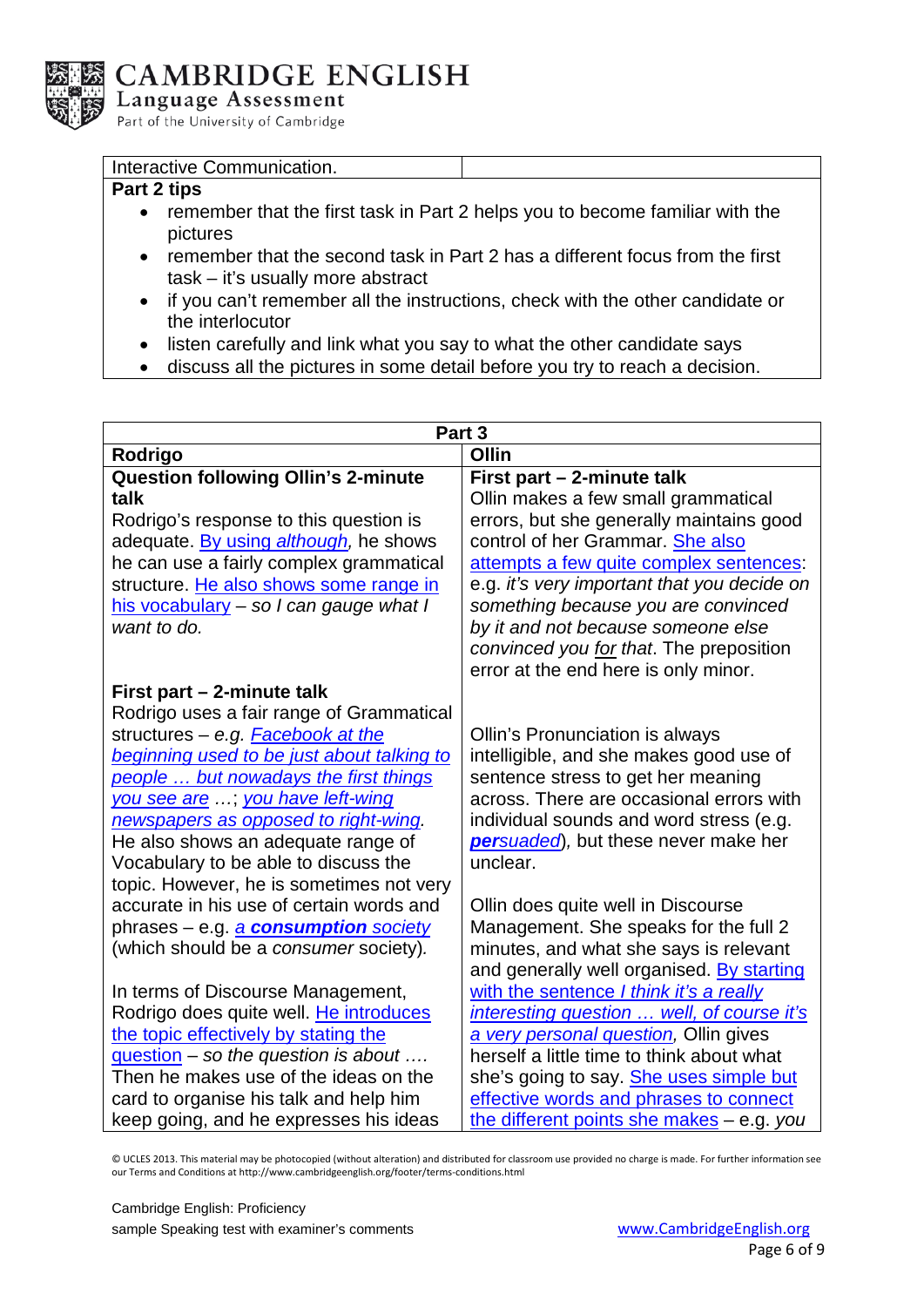

### Interactive Communication.

# **Part 2 tips**

- remember that the first task in Part 2 helps you to become familiar with the pictures
- remember that the second task in Part 2 has a different focus from the first task – it's usually more abstract
- if you can't remember all the instructions, check with the other candidate or the interlocutor
- listen carefully and link what you say to what the other candidate says
- discuss all the pictures in some detail before you try to reach a decision.

<span id="page-5-0"></span>

| Part <sub>3</sub>                          |                                              |  |
|--------------------------------------------|----------------------------------------------|--|
| Rodrigo                                    | Ollin                                        |  |
| <b>Question following Ollin's 2-minute</b> | First part - 2-minute talk                   |  |
| talk                                       | Ollin makes a few small grammatical          |  |
| Rodrigo's response to this question is     | errors, but she generally maintains good     |  |
| adequate. By using although, he shows      | control of her Grammar. She also             |  |
| he can use a fairly complex grammatical    | attempts a few quite complex sentences:      |  |
| structure. He also shows some range in     | e.g. it's very important that you decide on  |  |
| his vocabulary – so I can gauge what I     | something because you are convinced          |  |
| want to do.                                | by it and not because someone else           |  |
|                                            | convinced you for that. The preposition      |  |
|                                            | error at the end here is only minor.         |  |
| First part - 2-minute talk                 |                                              |  |
| Rodrigo uses a fair range of Grammatical   |                                              |  |
| structures - e.g. Facebook at the          | Ollin's Pronunciation is always              |  |
| beginning used to be just about talking to | intelligible, and she makes good use of      |  |
| people  but nowadays the first things      | sentence stress to get her meaning           |  |
| you see are , you have left-wing           | across. There are occasional errors with     |  |
| newspapers as opposed to right-wing.       | individual sounds and word stress (e.g.      |  |
| He also shows an adequate range of         | <b>persuaded</b> ), but these never make her |  |
| Vocabulary to be able to discuss the       | unclear.                                     |  |
| topic. However, he is sometimes not very   |                                              |  |
| accurate in his use of certain words and   | Ollin does quite well in Discourse           |  |
| phrases – e.g. a consumption society       | Management. She speaks for the full 2        |  |
| (which should be a consumer society).      | minutes, and what she says is relevant       |  |
|                                            | and generally well organised. By starting    |  |
| In terms of Discourse Management,          | with the sentence I think it's a really      |  |
| Rodrigo does quite well. He introduces     | interesting question  well, of course it's   |  |
| the topic effectively by stating the       | a very personal question, Ollin gives        |  |
| question - so the question is about        | herself a little time to think about what    |  |
| Then he makes use of the ideas on the      | she's going to say. She uses simple but      |  |
| card to organise his talk and help him     | effective words and phrases to connect       |  |
| keep going, and he expresses his ideas     | the different points she makes - e.g. you    |  |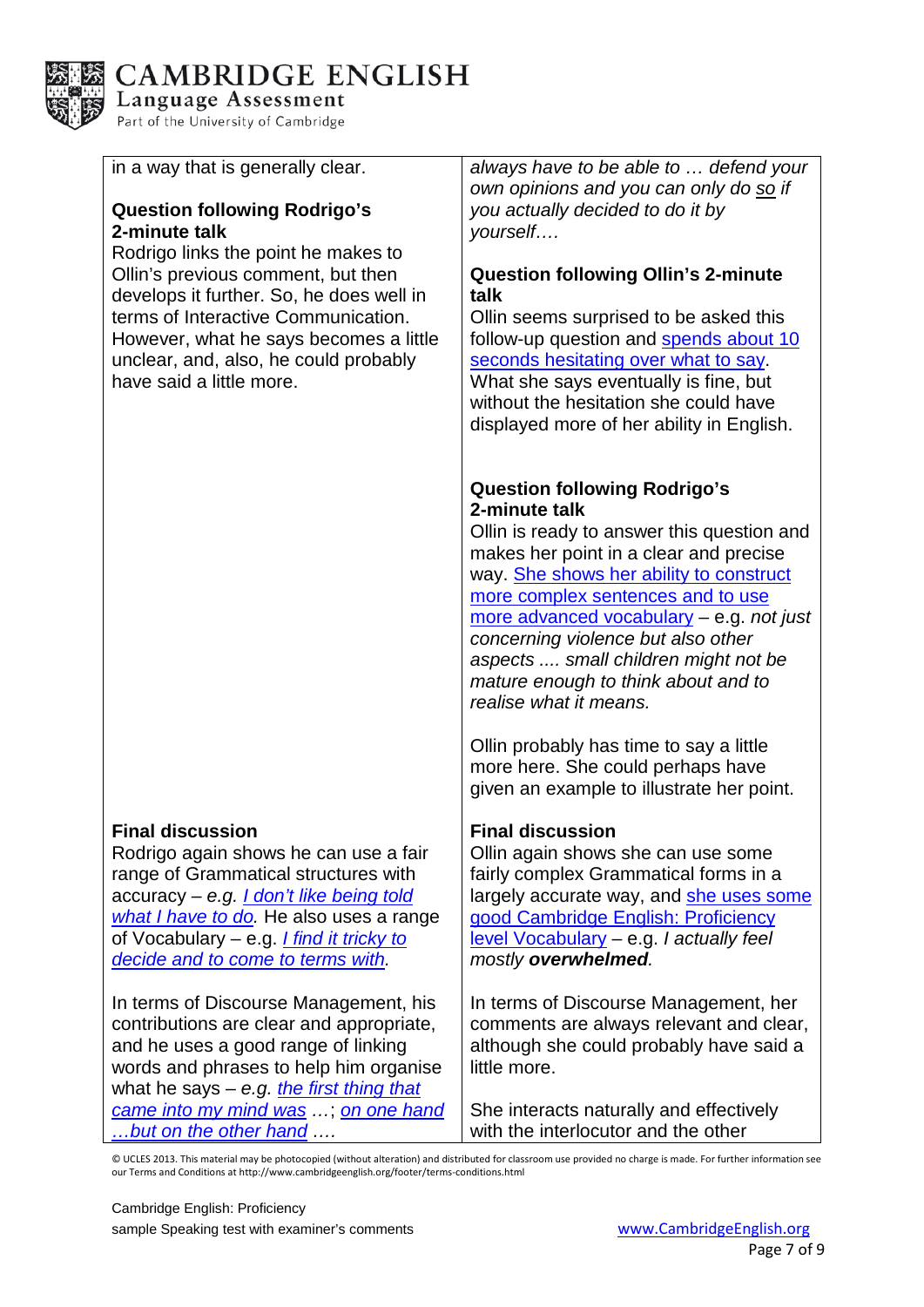

**CAMBRIDGE ENGLISH** Language Assessment

Part of the University of Cambridge

### in a way that is generally clear.

# **Question following Rodrigo's 2-minute talk**

Rodrigo links the point he makes to Ollin's previous comment, but then develops it further. So, he does well in terms of Interactive Communication. However, what he says becomes a little unclear, and, also, he could probably have said a little more.

# **Final discussion**

Rodrigo again shows he can use a fair range of Grammatical structures with accuracy – *e.g. I [don't like being told](http://youtu.be/Z-zh_rPNaqU?t=16m26s)  [what I have to do.](http://youtu.be/Z-zh_rPNaqU?t=16m26s)* He also uses a range of Vocabulary – e.g. *[I find it tricky to](http://youtu.be/Z-zh_rPNaqU?t=15m53s)  [decide and to come to terms with.](http://youtu.be/Z-zh_rPNaqU?t=15m53s)*

In terms of Discourse Management, his contributions are clear and appropriate, and he uses a good range of linking words and phrases to help him organise what he says – *e.g. [the first thing that](http://youtu.be/Z-zh_rPNaqU?t=14m)  [came into my mind was](http://youtu.be/Z-zh_rPNaqU?t=14m) …*; *[on one hand](http://youtu.be/Z-zh_rPNaqU?t=15m6s)  […but on the other hand](http://youtu.be/Z-zh_rPNaqU?t=15m6s) ….*

*always have to be able to … defend your own opinions and you can only do so if you actually decided to do it by yourself….* 

## **Question following Ollin's 2-minute talk**

Ollin seems surprised to be asked this follow-up question and spends [about 10](http://youtu.be/Z-zh_rPNaqU?t=9m44s)  seconds [hesitating over what to say.](http://youtu.be/Z-zh_rPNaqU?t=9m44s) What she says eventually is fine, but without the hesitation she could have displayed more of her ability in English.

# **Question following Rodrigo's 2-minute talk**

Ollin is ready to answer this question and makes her point in a clear and precise way. [She shows her ability to construct](http://youtu.be/Z-zh_rPNaqU?t=12m58s)  [more complex sentences and to use](http://youtu.be/Z-zh_rPNaqU?t=12m58s)  [more advanced vocabulary](http://youtu.be/Z-zh_rPNaqU?t=12m58s) – e.g. *not just concerning violence but also other aspects .... small children might not be mature enough to think about and to realise what it means.*

Ollin probably has time to say a little more here. She could perhaps have given an example to illustrate her point.

# **Final discussion**

Ollin again shows she can use some fairly complex Grammatical forms in a largely accurate way, and [she uses some](http://youtu.be/Z-zh_rPNaqU?t=14m23s)  [good Cambridge English: Proficiency](http://youtu.be/Z-zh_rPNaqU?t=14m23s) [level Vocabulary](http://youtu.be/Z-zh_rPNaqU?t=14m23s) – e.g. *I actually feel mostly overwhelmed.*

In terms of Discourse Management, her comments are always relevant and clear, although she could probably have said a little more.

She interacts naturally and effectively with the interlocutor and the other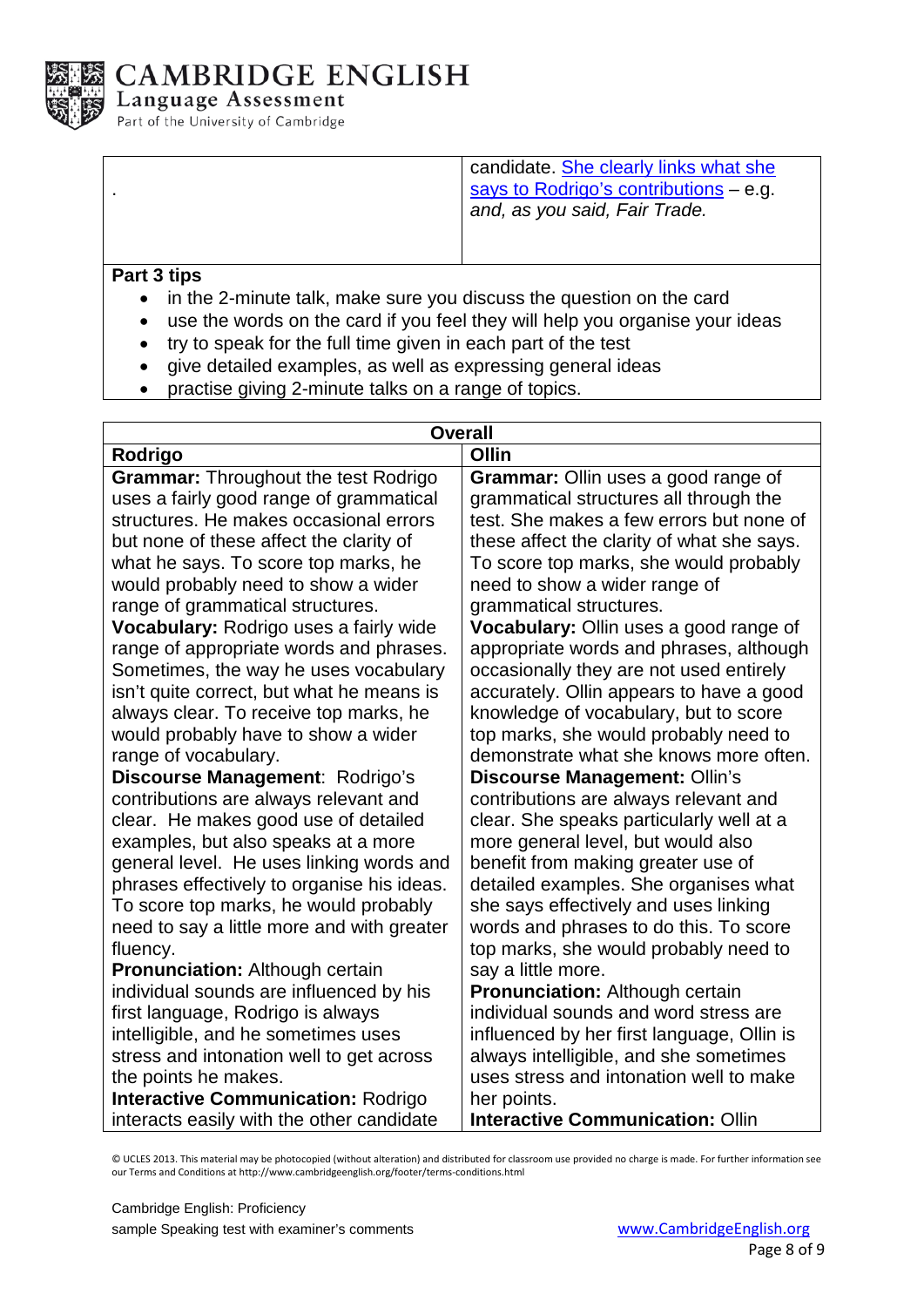

CAMBRIDGE ENGLISH Language Assessment

Part of the University of Cambridge

| candidate. She clearly links what she<br>says to Rodrigo's contributions - e.g. |
|---------------------------------------------------------------------------------|
| and, as you said, Fair Trade.                                                   |

# **Part 3 tips**

- in the 2-minute talk, make sure you discuss the question on the card
- use the words on the card if you feel they will help you organise your ideas
- try to speak for the full time given in each part of the test
- give detailed examples, as well as expressing general ideas
- practise giving 2-minute talks on a range of topics.

<span id="page-7-0"></span>

| <b>Overall</b>                              |                                            |  |
|---------------------------------------------|--------------------------------------------|--|
| Rodrigo                                     | Ollin                                      |  |
| <b>Grammar: Throughout the test Rodrigo</b> | Grammar: Ollin uses a good range of        |  |
| uses a fairly good range of grammatical     | grammatical structures all through the     |  |
| structures. He makes occasional errors      | test. She makes a few errors but none of   |  |
| but none of these affect the clarity of     | these affect the clarity of what she says. |  |
| what he says. To score top marks, he        | To score top marks, she would probably     |  |
| would probably need to show a wider         | need to show a wider range of              |  |
| range of grammatical structures.            | grammatical structures.                    |  |
| Vocabulary: Rodrigo uses a fairly wide      | Vocabulary: Ollin uses a good range of     |  |
| range of appropriate words and phrases.     | appropriate words and phrases, although    |  |
| Sometimes, the way he uses vocabulary       | occasionally they are not used entirely    |  |
| isn't quite correct, but what he means is   | accurately. Ollin appears to have a good   |  |
| always clear. To receive top marks, he      | knowledge of vocabulary, but to score      |  |
| would probably have to show a wider         | top marks, she would probably need to      |  |
| range of vocabulary.                        | demonstrate what she knows more often.     |  |
| Discourse Management: Rodrigo's             | <b>Discourse Management: Ollin's</b>       |  |
| contributions are always relevant and       | contributions are always relevant and      |  |
| clear. He makes good use of detailed        | clear. She speaks particularly well at a   |  |
| examples, but also speaks at a more         | more general level, but would also         |  |
| general level. He uses linking words and    | benefit from making greater use of         |  |
| phrases effectively to organise his ideas.  | detailed examples. She organises what      |  |
| To score top marks, he would probably       | she says effectively and uses linking      |  |
| need to say a little more and with greater  | words and phrases to do this. To score     |  |
| fluency.                                    | top marks, she would probably need to      |  |
| <b>Pronunciation: Although certain</b>      | say a little more.                         |  |
| individual sounds are influenced by his     | Pronunciation: Although certain            |  |
| first language, Rodrigo is always           | individual sounds and word stress are      |  |
| intelligible, and he sometimes uses         | influenced by her first language, Ollin is |  |
| stress and intonation well to get across    | always intelligible, and she sometimes     |  |
| the points he makes.                        | uses stress and intonation well to make    |  |
| <b>Interactive Communication: Rodrigo</b>   | her points.                                |  |
| interacts easily with the other candidate   | <b>Interactive Communication: Ollin</b>    |  |